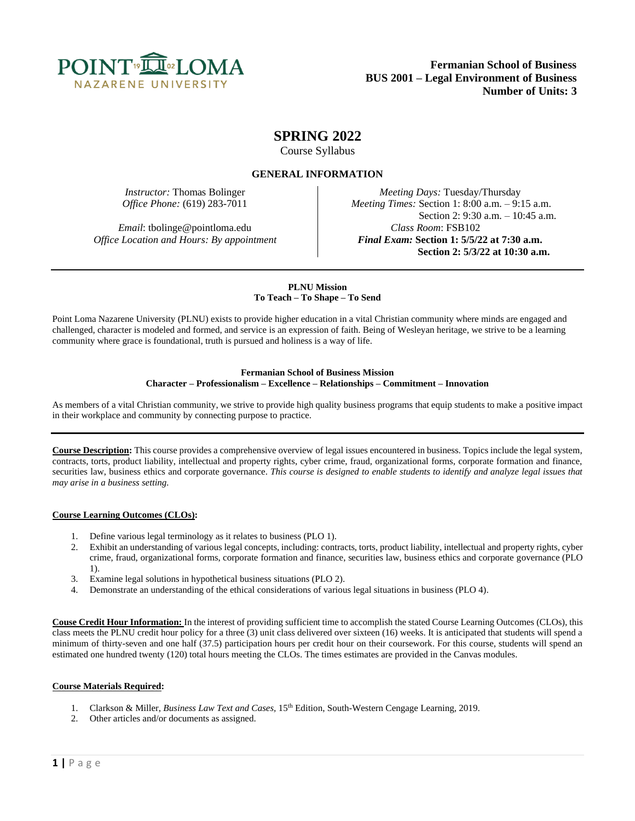

# **SPRING 2022**

Course Syllabus

## **GENERAL INFORMATION**

*Email*: tbolinge@pointloma.edu *Class Room*: FSB102

*Instructor:* Thomas Bolinger *Meeting Days:* Tuesday/Thursday *Office Phone:* (619) 283-7011 *Meeting Times:* Section 1: 8:00 a.m. – 9:15 a.m. Section 2: 9:30 a.m. – 10:45 a.m. *Office Location and Hours: By appointment Final Exam:* **Section 1: 5/5/22 at 7:30 a.m. Section 2: 5/3/22 at 10:30 a.m.**

## **PLNU Mission To Teach – To Shape – To Send**

Point Loma Nazarene University (PLNU) exists to provide higher education in a vital Christian community where minds are engaged and challenged, character is modeled and formed, and service is an expression of faith. Being of Wesleyan heritage, we strive to be a learning community where grace is foundational, truth is pursued and holiness is a way of life.

#### **Fermanian School of Business Mission Character – Professionalism – Excellence – Relationships – Commitment – Innovation**

As members of a vital Christian community, we strive to provide high quality business programs that equip students to make a positive impact in their workplace and community by connecting purpose to practice.

**Course Description:** This course provides a comprehensive overview of legal issues encountered in business. Topics include the legal system, contracts, torts, product liability, intellectual and property rights, cyber crime, fraud, organizational forms, corporate formation and finance, securities law, business ethics and corporate governance. *This course is designed to enable students to identify and analyze legal issues that may arise in a business setting.*

## **Course Learning Outcomes (CLOs):**

- 1. Define various legal terminology as it relates to business (PLO 1).
- 2. Exhibit an understanding of various legal concepts, including: contracts, torts, product liability, intellectual and property rights, cyber crime, fraud, organizational forms, corporate formation and finance, securities law, business ethics and corporate governance (PLO 1).
- 3. Examine legal solutions in hypothetical business situations (PLO 2).
- 4. Demonstrate an understanding of the ethical considerations of various legal situations in business (PLO 4).

**Couse Credit Hour Information:** In the interest of providing sufficient time to accomplish the stated Course Learning Outcomes (CLOs), this class meets the PLNU credit hour policy for a three (3) unit class delivered over sixteen (16) weeks. It is anticipated that students will spend a minimum of thirty-seven and one half (37.5) participation hours per credit hour on their coursework. For this course, students will spend an estimated one hundred twenty (120) total hours meeting the CLOs. The times estimates are provided in the Canvas modules.

## **Course Materials Required:**

- 1. Clarkson & Miller, *Business Law Text and Cases*, 15<sup>th</sup> Edition, South-Western Cengage Learning, 2019.
- 2. Other articles and/or documents as assigned.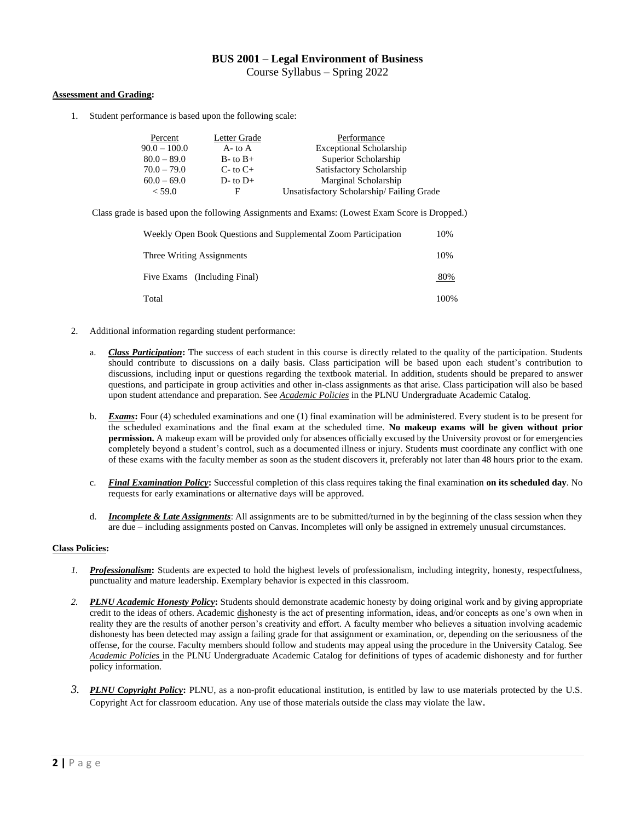## **BUS 2001 – Legal Environment of Business** Course Syllabus – Spring 2022

## **Assessment and Grading:**

1. Student performance is based upon the following scale:

| Percent        | Letter Grade   | Performance                              |
|----------------|----------------|------------------------------------------|
| $90.0 - 100.0$ | $A$ - to $A$   | <b>Exceptional Scholarship</b>           |
| $80.0 - 89.0$  | $B$ - to $B$ + | Superior Scholarship                     |
| $70.0 - 79.0$  | $C$ - to $C$ + | Satisfactory Scholarship                 |
| $60.0 - 69.0$  | $D$ - to $D$ + | Marginal Scholarship                     |
| < 59.0         | н              | Unsatisfactory Scholarship/Failing Grade |

Class grade is based upon the following Assignments and Exams: (Lowest Exam Score is Dropped.)

| Weekly Open Book Ouestions and Supplemental Zoom Participation | 10%  |
|----------------------------------------------------------------|------|
| Three Writing Assignments                                      | 10%  |
| Five Exams (Including Final)                                   | 80%  |
| Total                                                          | 100% |

- 2. Additional information regarding student performance:
	- a. *Class Participation***:** The success of each student in this course is directly related to the quality of the participation. Students should contribute to discussions on a daily basis. Class participation will be based upon each student's contribution to discussions, including input or questions regarding the textbook material. In addition, students should be prepared to answer questions, and participate in group activities and other in-class assignments as that arise. Class participation will also be based upon student attendance and preparation. See *Academic Policies* in the PLNU Undergraduate Academic Catalog.
	- b. *Exams***:** Four (4) scheduled examinations and one (1) final examination will be administered. Every student is to be present for the scheduled examinations and the final exam at the scheduled time. **No makeup exams will be given without prior permission.** A makeup exam will be provided only for absences officially excused by the University provost or for emergencies completely beyond a student's control, such as a documented illness or injury. Students must coordinate any conflict with one of these exams with the faculty member as soon as the student discovers it, preferably not later than 48 hours prior to the exam.
	- c. *Final Examination Policy***:** Successful completion of this class requires taking the final examination **on its scheduled day**. No requests for early examinations or alternative days will be approved.
	- d. *Incomplete & Late Assignments*: All assignments are to be submitted/turned in by the beginning of the class session when they are due – including assignments posted on Canvas. Incompletes will only be assigned in extremely unusual circumstances.

## **Class Policies:**

- *1. Professionalism***:** Students are expected to hold the highest levels of professionalism, including integrity, honesty, respectfulness, punctuality and mature leadership. Exemplary behavior is expected in this classroom.
- *2. PLNU Academic Honesty Policy***:** Students should demonstrate academic honesty by doing original work and by giving appropriate credit to the ideas of others. Academic dishonesty is the act of presenting information, ideas, and/or concepts as one's own when in reality they are the results of another person's creativity and effort. A faculty member who believes a situation involving academic dishonesty has been detected may assign a failing grade for that assignment or examination, or, depending on the seriousness of the offense, for the course. Faculty members should follow and students may appeal using the procedure in the University Catalog. See *Academic Policies* in the PLNU Undergraduate Academic Catalog for definitions of types of academic dishonesty and for further policy information.
- *3. PLNU Copyright Policy***:** PLNU, as a non-profit educational institution, is entitled by law to use materials protected by the U.S. Copyright Act for classroom education. Any use of those materials outside the class may violate the law.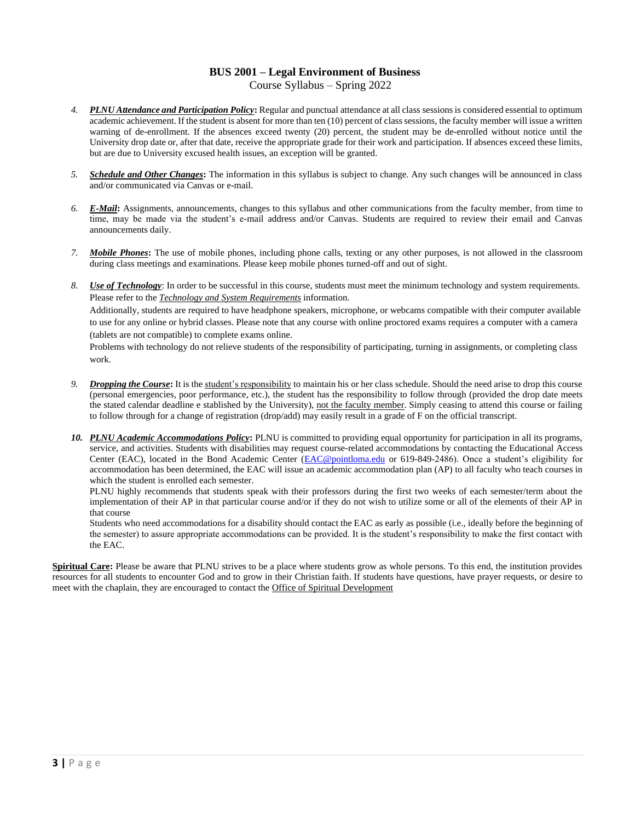## **BUS 2001 – Legal Environment of Business** Course Syllabus – Spring 2022

- *4. PLNU Attendance and Participation Policy***:** Regular and punctual attendance at all class sessions is considered essential to optimum academic achievement. If the student is absent for more than ten (10) percent of class sessions, the faculty member will issue a written warning of de-enrollment. If the absences exceed twenty (20) percent, the student may be de-enrolled without notice until the University drop date or, after that date, receive the appropriate grade for their work and participation. If absences exceed these limits, but are due to University excused health issues, an exception will be granted.
- *5. Schedule and Other Changes***:** The information in this syllabus is subject to change. Any such changes will be announced in class and/or communicated via Canvas or e-mail.
- *6. E-Mail***:** Assignments, announcements, changes to this syllabus and other communications from the faculty member, from time to time, may be made via the student's e-mail address and/or Canvas. Students are required to review their email and Canvas announcements daily.
- *7. Mobile Phones***:** The use of mobile phones, including phone calls, texting or any other purposes, is not allowed in the classroom during class meetings and examinations. Please keep mobile phones turned-off and out of sight.
- *8. Use of Technology*: In order to be successful in this course, students must meet the minimum technology and system requirements. Please refer to the *Technology and System Requirements* information.

Additionally, students are required to have headphone speakers, microphone, or webcams compatible with their computer available to use for any online or hybrid classes. Please note that any course with online proctored exams requires a computer with a camera (tablets are not compatible) to complete exams online.

Problems with technology do not relieve students of the responsibility of participating, turning in assignments, or completing class work.

- *9. Dropping the Course***:** It is the student's responsibility to maintain his or her class schedule. Should the need arise to drop this course (personal emergencies, poor performance, etc.), the student has the responsibility to follow through (provided the drop date meets the stated calendar deadline e stablished by the University), not the faculty member. Simply ceasing to attend this course or failing to follow through for a change of registration (drop/add) may easily result in a grade of F on the official transcript.
- *10. PLNU Academic Accommodations Policy***:** PLNU is committed to providing equal opportunity for participation in all its programs, service, and activities. Students with disabilities may request course-related accommodations by contacting the Educational Access Center (EAC), located in the Bond Academic Center [\(EAC@pointloma.edu](mailto:EAC@pointloma.edu) or 619-849-2486). Once a student's eligibility for accommodation has been determined, the EAC will issue an academic accommodation plan (AP) to all faculty who teach courses in which the student is enrolled each semester.

PLNU highly recommends that students speak with their professors during the first two weeks of each semester/term about the implementation of their AP in that particular course and/or if they do not wish to utilize some or all of the elements of their AP in that course

Students who need accommodations for a disability should contact the EAC as early as possible (i.e., ideally before the beginning of the semester) to assure appropriate accommodations can be provided. It is the student's responsibility to make the first contact with the EAC.

**Spiritual Care:** Please be aware that PLNU strives to be a place where students grow as whole persons. To this end, the institution provides resources for all students to encounter God and to grow in their Christian faith. If students have questions, have prayer requests, or desire to meet with the chaplain, they are encouraged to contact the Office of Spiritual Development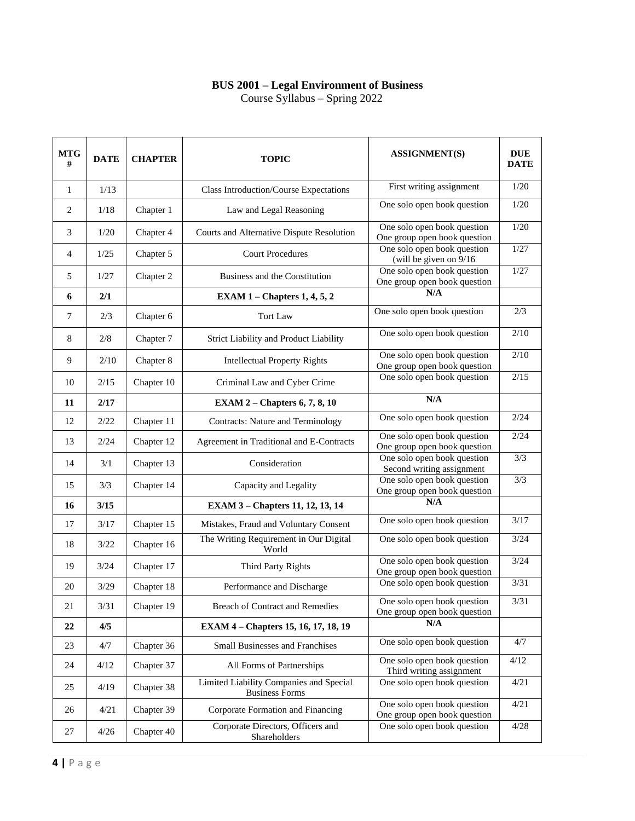## **BUS 2001 – Legal Environment of Business**

Course Syllabus – Spring 2022

| <b>MTG</b><br># | <b>DATE</b> | <b>CHAPTER</b> | <b>TOPIC</b>                                                     | <b>ASSIGNMENT(S)</b>                                        | <b>DUE</b><br><b>DATE</b> |
|-----------------|-------------|----------------|------------------------------------------------------------------|-------------------------------------------------------------|---------------------------|
| $\mathbf{1}$    | 1/13        |                | Class Introduction/Course Expectations                           | First writing assignment                                    | 1/20                      |
| 2               | 1/18        | Chapter 1      | Law and Legal Reasoning                                          | One solo open book question                                 | 1/20                      |
| 3               | 1/20        | Chapter 4      | Courts and Alternative Dispute Resolution                        | One solo open book question<br>One group open book question | 1/20                      |
| $\overline{4}$  | 1/25        | Chapter 5      | <b>Court Procedures</b>                                          | One solo open book question<br>(will be given on $9/16$     | 1/27                      |
| 5               | 1/27        | Chapter 2      | Business and the Constitution                                    | One solo open book question<br>One group open book question | 1/27                      |
| 6               | 2/1         |                | EXAM $1$ – Chapters 1, 4, 5, 2                                   | N/A                                                         |                           |
| $7\phantom{.0}$ | 2/3         | Chapter 6      | <b>Tort Law</b>                                                  | One solo open book question                                 | 2/3                       |
| 8               | 2/8         | Chapter 7      | Strict Liability and Product Liability                           | One solo open book question                                 | 2/10                      |
| 9               | 2/10        | Chapter 8      | <b>Intellectual Property Rights</b>                              | One solo open book question<br>One group open book question | 2/10                      |
| 10              | 2/15        | Chapter 10     | Criminal Law and Cyber Crime                                     | One solo open book question                                 | $\overline{2/15}$         |
| 11              | 2/17        |                | EXAM $2$ – Chapters 6, 7, 8, 10                                  | N/A                                                         |                           |
| 12              | 2/22        | Chapter 11     | <b>Contracts: Nature and Terminology</b>                         | One solo open book question                                 | 2/24                      |
| 13              | 2/24        | Chapter 12     | Agreement in Traditional and E-Contracts                         | One solo open book question<br>One group open book question | 2/24                      |
| 14              | 3/1         | Chapter 13     | Consideration                                                    | One solo open book question<br>Second writing assignment    | $\overline{3/3}$          |
| 15              | 3/3         | Chapter 14     | Capacity and Legality                                            | One solo open book question<br>One group open book question | 3/3                       |
| 16              | 3/15        |                | <b>EXAM 3 - Chapters 11, 12, 13, 14</b>                          | N/A                                                         |                           |
| 17              | 3/17        | Chapter 15     | Mistakes, Fraud and Voluntary Consent                            | One solo open book question                                 | 3/17                      |
| 18              | 3/22        | Chapter 16     | The Writing Requirement in Our Digital<br>World                  | One solo open book question                                 | 3/24                      |
| 19              | 3/24        | Chapter 17     | Third Party Rights                                               | One solo open book question<br>One group open book question | 3/24                      |
| 20              | 3/29        | Chapter 18     | Performance and Discharge                                        | One solo open book question                                 | 3/31                      |
| 21              | 3/31        | Chapter 19     | Breach of Contract and Remedies                                  | One solo open book question<br>One group open book question | 3/31                      |
| 22              | 4/5         |                | EXAM 4 - Chapters 15, 16, 17, 18, 19                             | N/A                                                         |                           |
| 23              | 4/7         | Chapter 36     | <b>Small Businesses and Franchises</b>                           | One solo open book question                                 | 4/7                       |
| 24              | 4/12        | Chapter 37     | All Forms of Partnerships                                        | One solo open book question<br>Third writing assignment     | 4/12                      |
| 25              | 4/19        | Chapter 38     | Limited Liability Companies and Special<br><b>Business Forms</b> | One solo open book question                                 | 4/21                      |
| 26              | 4/21        | Chapter 39     | Corporate Formation and Financing                                | One solo open book question<br>One group open book question | 4/21                      |
| 27              | 4/26        | Chapter 40     | Corporate Directors, Officers and<br>Shareholders                | One solo open book question                                 | 4/28                      |